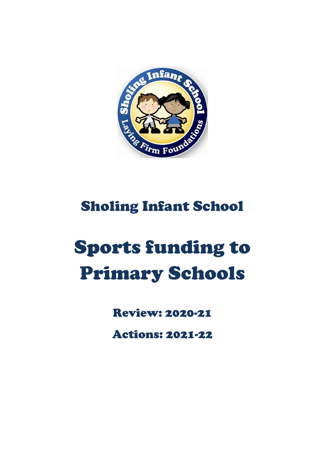

# Sholing Infant School

# Sports funding to Primary Schools

Review: 2020-21

Actions: 2021-22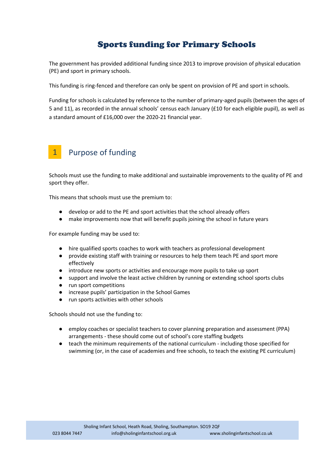### Sports funding for Primary Schools

The government has provided additional funding since 2013 to improve provision of physical education (PE) and sport in primary schools.

This funding is ring-fenced and therefore can only be spent on provision of PE and sport in schools.

Funding for schools is calculated by reference to the number of primary-aged pupils (between the ages of 5 and 11), as recorded in the annual schools' census each January (£10 for each eligible pupil), as well as a standard amount of £16,000 over the 2020-21 financial year.

#### Purpose of funding 1

Schools must use the funding to make additional and sustainable improvements to the quality of PE and sport they offer.

This means that schools must use the premium to:

- develop or add to the PE and sport activities that the school already offers
- make improvements now that will benefit pupils joining the school in future years

For example funding may be used to:

- hire qualified sports coaches to work with teachers as professional development
- provide existing staff with training or resources to help them teach PE and sport more effectively
- introduce new sports or activities and encourage more pupils to take up sport
- support and involve the least active children by running or extending school sports clubs
- run sport competitions
- increase pupils' participation in the School Games
- run sports activities with other schools

Schools should not use the funding to:

- employ coaches or specialist teachers to cover planning preparation and assessment (PPA) arrangements - these should come out of school's core staffing budgets
- teach the minimum requirements of the national curriculum including those specified for swimming (or, in the case of academies and free schools, to teach the existing PE curriculum)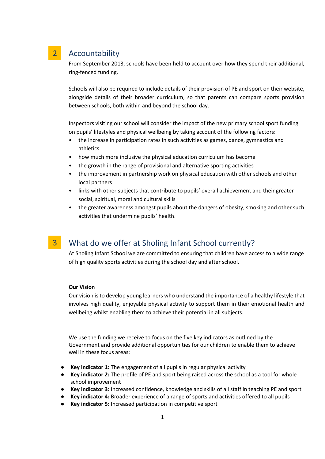#### Accountability 2

From September 2013, schools have been held to account over how they spend their additional, ring-fenced funding.

Schools will also be required to include details of their provision of PE and sport on their website, alongside details of their broader curriculum, so that parents can compare sports provision between schools, both within and beyond the school day.

Inspectors visiting our school will consider the impact of the new primary school sport funding on pupils' lifestyles and physical wellbeing by taking account of the following factors:

- the increase in participation rates in such activities as games, dance, gymnastics and athletics
- how much more inclusive the physical education curriculum has become
- the growth in the range of provisional and alternative sporting activities
- the improvement in partnership work on physical education with other schools and other local partners
- links with other subjects that contribute to pupils' overall achievement and their greater social, spiritual, moral and cultural skills
- the greater awareness amongst pupils about the dangers of obesity, smoking and other such activities that undermine pupils' health.

#### What do we offer at Sholing Infant School currently? 3

At Sholing Infant School we are committed to ensuring that children have access to a wide range of high quality sports activities during the school day and after school.

#### **Our Vision**

Our vision is to develop young learners who understand the importance of a healthy lifestyle that involves high quality, enjoyable physical activity to support them in their emotional health and wellbeing whilst enabling them to achieve their potential in all subjects.

We use the funding we receive to focus on the five key indicators as outlined by the Government and provide additional opportunities for our children to enable them to achieve well in these focus areas:

- **Key indicator 1:** The engagement of all pupils in regular physical activity
- **Key indicator 2:** The profile of PE and sport being raised across the school as a tool for whole school improvement
- **Key indicator 3:** Increased confidence, knowledge and skills of all staff in teaching PE and sport
- **Key indicator 4:** Broader experience of a range of sports and activities offered to all pupils
- **Key indicator 5:** Increased participation in competitive sport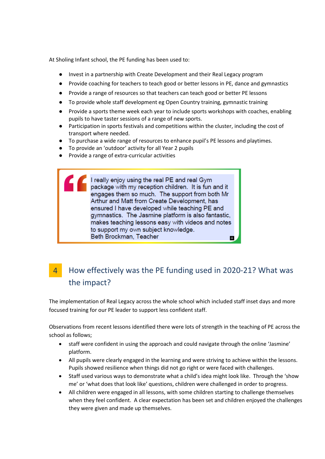At Sholing Infant school, the PE funding has been used to:

- Invest in a partnership with Create Development and their Real Legacy program
- Provide coaching for teachers to teach good or better lessons in PE, dance and gymnastics
- Provide a range of resources so that teachers can teach good or better PE lessons
- To provide whole staff development eg Open Country training, gymnastic training
- Provide a sports theme week each year to include sports workshops with coaches, enabling pupils to have taster sessions of a range of new sports.
- Participation in sports festivals and competitions within the cluster, including the cost of transport where needed.
- To purchase a wide range of resources to enhance pupil's PE lessons and playtimes.
- To provide an 'outdoor' activity for all Year 2 pupils
- Provide a range of extra-curricular activities

I really enjoy using the real PE and real Gym package with my reception children. It is fun and it engages them so much. The support from both Mr Arthur and Matt from Create Development, has ensured I have developed while teaching PE and gymnastics. The Jasmine platform is also fantastic, makes teaching lessons easy with videos and notes to support my own subject knowledge. Beth Brockman, Teacher

#### How effectively was the PE funding used in 2020-21? What was the impact? 4

The implementation of Real Legacy across the whole school which included staff inset days and more focused training for our PE leader to support less confident staff.

Observations from recent lessons identified there were lots of strength in the teaching of PE across the school as follows;

- staff were confident in using the approach and could navigate through the online 'Jasmine' platform.
- All pupils were clearly engaged in the learning and were striving to achieve within the lessons. Pupils showed resilience when things did not go right or were faced with challenges.
- Staff used various ways to demonstrate what a child's idea might look like. Through the 'show me' or 'what does that look like' questions, children were challenged in order to progress.
- All children were engaged in all lessons, with some children starting to challenge themselves when they feel confident. A clear expectation has been set and children enjoyed the challenges they were given and made up themselves.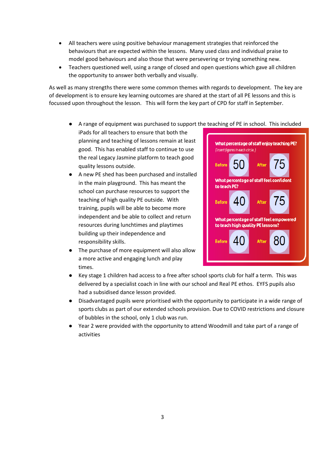- All teachers were using positive behaviour management strategies that reinforced the behaviours that are expected within the lessons. Many used class and individual praise to model good behaviours and also those that were persevering or trying something new.
- Teachers questioned well, using a range of closed and open questions which gave all children the opportunity to answer both verbally and visually.

As well as many strengths there were some common themes with regards to development. The key are of development is to ensure key learning outcomes are shared at the start of all PE lessons and this is focussed upon throughout the lesson. This will form the key part of CPD for staff in September.

- A range of equipment was purchased to support the teaching of PE in school. This included
- iPads for all teachers to ensure that both the planning and teaching of lessons remain at least good. This has enabled staff to continue to use the real Legacy Jasmine platform to teach good quality lessons outside.
- A new PE shed has been purchased and installed in the main playground. This has meant the school can purchase resources to support the teaching of high quality PE outside. With training, pupils will be able to become more independent and be able to collect and return resources during lunchtimes and playtimes building up their independence and responsibility skills.
- The purchase of more equipment will also allow a more active and engaging lunch and play times.



- Key stage 1 children had access to a free after school sports club for half a term. This was delivered by a specialist coach in line with our school and Real PE ethos. EYFS pupils also had a subsidised dance lesson provided.
- Disadvantaged pupils were prioritised with the opportunity to participate in a wide range of sports clubs as part of our extended schools provision. Due to COVID restrictions and closure of bubbles in the school, only 1 club was run.
- Year 2 were provided with the opportunity to attend Woodmill and take part of a range of activities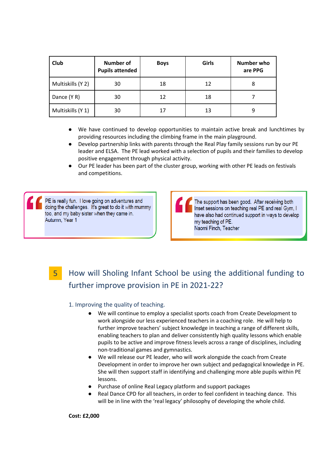| Club              | Number of<br><b>Pupils attended</b> | <b>Boys</b> | Girls | Number who<br>are PPG |
|-------------------|-------------------------------------|-------------|-------|-----------------------|
| Multiskills (Y 2) | 30                                  | 18          | 12    | 8                     |
| Dance (Y R)       | 30                                  | 12          | 18    |                       |
| Multiskills (Y 1) | 30                                  | 17          | 13    | q                     |

- We have continued to develop opportunities to maintain active break and lunchtimes by providing resources including the climbing frame in the main playground.
- Develop partnership links with parents through the Real Play family sessions run by our PE leader and ELSA. The PE lead worked with a selection of pupils and their families to develop positive engagement through physical activity.
- Our PE leader has been part of the cluster group, working with other PE leads on festivals and competitions.

PE is really fun. I love going on adventures and doing the challenges. It's great to do it with mummy too, and my baby sister when they came in. Autumn, Year 1

The support has been good. After receiving both Inset sessions on teaching real PE and real Gym, I have also had continued support in ways to develop my teaching of PE. Naomi Finch, Teacher

## 5

# How will Sholing Infant School be using the additional funding to further improve provision in PE in 2021-22?

#### 1. Improving the quality of teaching.

- We will continue to employ a specialist sports coach from Create Development to work alongside our less experienced teachers in a coaching role. He will help to further improve teachers' subject knowledge in teaching a range of different skills, enabling teachers to plan and deliver consistently high quality lessons which enable pupils to be active and improve fitness levels across a range of disciplines, including non-traditional games and gymnastics.
- We will release our PE leader, who will work alongside the coach from Create Development in order to improve her own subject and pedagogical knowledge in PE. She will then support staff in identifying and challenging more able pupils within PE lessons.
- Purchase of online Real Legacy platform and support packages
- Real Dance CPD for all teachers, in order to feel confident in teaching dance. This will be in line with the 'real legacy' philosophy of developing the whole child.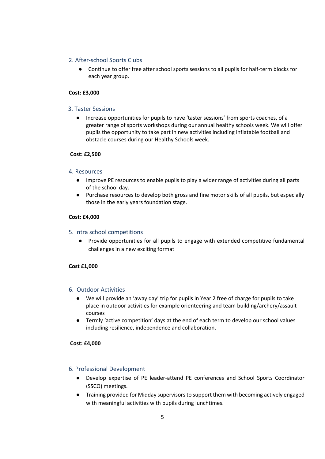#### 2. After-school Sports Clubs

● Continue to offer free after school sports sessions to all pupils for half-term blocks for each year group.

#### **Cost: £3,000**

#### 3. Taster Sessions

● Increase opportunities for pupils to have 'taster sessions' from sports coaches, of a greater range of sports workshops during our annual healthy schools week. We will offer pupils the opportunity to take part in new activities including inflatable football and obstacle courses during our Healthy Schools week.

#### **Cost: £2,500**

#### 4. Resources

- Improve PE resources to enable pupils to play a wider range of activities during all parts of the school day.
- Purchase resources to develop both gross and fine motor skills of all pupils, but especially those in the early years foundation stage.

#### **Cost: £4,000**

#### 5. Intra school competitions

● Provide opportunities for all pupils to engage with extended competitive fundamental challenges in a new exciting format

#### **Cost £1,000**

#### 6. Outdoor Activities

- We will provide an 'away day' trip for pupils in Year 2 free of charge for pupils to take place in outdoor activities for example orienteering and team building/archery/assault courses
- Termly 'active competition' days at the end of each term to develop our school values including resilience, independence and collaboration.

#### **Cost: £4,000**

#### 6. Professional Development

- Develop expertise of PE leader-attend PE conferences and School Sports Coordinator (SSCO) meetings.
- Training provided for Midday supervisors to support them with becoming actively engaged with meaningful activities with pupils during lunchtimes.